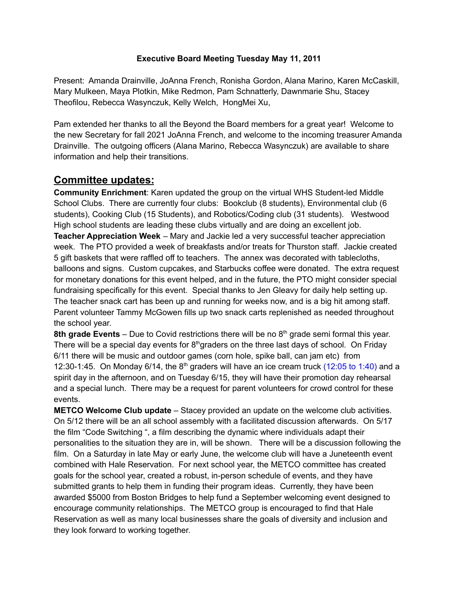## **Executive Board Meeting Tuesday May 11, 2011**

Present: Amanda Drainville, JoAnna French, Ronisha Gordon, Alana Marino, Karen McCaskill, Mary Mulkeen, Maya Plotkin, Mike Redmon, Pam Schnatterly, Dawnmarie Shu, Stacey Theofilou, Rebecca Wasynczuk, Kelly Welch, HongMei Xu,

Pam extended her thanks to all the Beyond the Board members for a great year! Welcome to the new Secretary for fall 2021 JoAnna French, and welcome to the incoming treasurer Amanda Drainville. The outgoing officers (Alana Marino, Rebecca Wasynczuk) are available to share information and help their transitions.

## **Committee updates:**

**Community Enrichment**: Karen updated the group on the virtual WHS Student-led Middle School Clubs. There are currently four clubs: Bookclub (8 students), Environmental club (6 students), Cooking Club (15 Students), and Robotics/Coding club (31 students). Westwood High school students are leading these clubs virtually and are doing an excellent job. **Teacher Appreciation Week** – Mary and Jackie led a very successful teacher appreciation week. The PTO provided a week of breakfasts and/or treats for Thurston staff. Jackie created 5 gift baskets that were raffled off to teachers. The annex was decorated with tablecloths, balloons and signs. Custom cupcakes, and Starbucks coffee were donated. The extra request for monetary donations for this event helped, and in the future, the PTO might consider special fundraising specifically for this event. Special thanks to Jen Gleavy for daily help setting up. The teacher snack cart has been up and running for weeks now, and is a big hit among staff. Parent volunteer Tammy McGowen fills up two snack carts replenished as needed throughout the school year.

**8th grade Events** – Due to Covid restrictions there will be no 8 th grade semi formal this year. There will be a special day events for  $8<sup>th</sup>$ graders on the three last days of school. On Friday 6/11 there will be music and outdoor games (corn hole, spike ball, can jam etc) from 12:30-1:45. On Monday 6/14, the  $8<sup>th</sup>$  graders will have an ice cream truck (12:05 to 1:40) and a spirit day in the afternoon, and on Tuesday 6/15, they will have their promotion day rehearsal and a special lunch. There may be a request for parent volunteers for crowd control for these events.

**METCO Welcome Club update** – Stacey provided an update on the welcome club activities. On 5/12 there will be an all school assembly with a facilitated discussion afterwards. On 5/17 the film "Code Switching ", a film describing the dynamic where individuals adapt their personalities to the situation they are in, will be shown. There will be a discussion following the film. On a Saturday in late May or early June, the welcome club will have a Juneteenth event combined with Hale Reservation. For next school year, the METCO committee has created goals for the school year, created a robust, in-person schedule of events, and they have submitted grants to help them in funding their program ideas. Currently, they have been awarded \$5000 from Boston Bridges to help fund a September welcoming event designed to encourage community relationships. The METCO group is encouraged to find that Hale Reservation as well as many local businesses share the goals of diversity and inclusion and they look forward to working together.